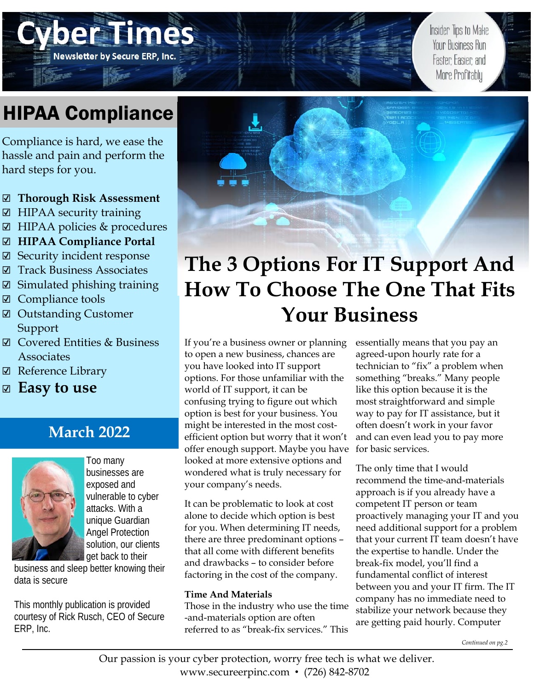## HIPAA Compliance

**Newsletter by Secure ERP, Inc** 

Compliance is hard, we ease the hassle and pain and perform the hard steps for you.

#### ☑ **Thorough Risk Assessment**

- ☑ HIPAA security training
- ☑ HIPAA policies & procedures
- ☑ **HIPAA Compliance Portal**
- ☑ Security incident response
- ☑ Track Business Associates
- ☑ Simulated phishing training
- ☑ Compliance tools
- ☑ Outstanding Customer Support
- ☑ Covered Entities & Business **Associates**
- ☑ Reference Library
- ☑ **Easy to use**

### **March 2022**



Too many businesses are exposed and vulnerable to cyber attacks. With a unique Guardian Angel Protection solution, our clients get back to their

business and sleep better knowing their data is secure

This monthly publication is provided courtesy of Rick Rusch, CEO of Secure ERP, Inc.



## **The 3 Options For IT Support And How To Choose The One That Fits Your Business**

If you're a business owner or planning to open a new business, chances are you have looked into IT support options. For those unfamiliar with the world of IT support, it can be confusing trying to figure out which option is best for your business. You might be interested in the most costefficient option but worry that it won't offer enough support. Maybe you have looked at more extensive options and wondered what is truly necessary for your company's needs.

It can be problematic to look at cost alone to decide which option is best for you. When determining IT needs, there are three predominant options – that all come with different benefits and drawbacks – to consider before factoring in the cost of the company.

#### **Time And Materials**

Those in the industry who use the time -and-materials option are often referred to as "break-fix services." This essentially means that you pay an agreed-upon hourly rate for a technician to "fix" a problem when something "breaks." Many people like this option because it is the most straightforward and simple way to pay for IT assistance, but it often doesn't work in your favor and can even lead you to pay more for basic services.

Insider Tips to Make Your Business Run

Faster: Easier: and More Profitably

The only time that I would recommend the time-and-materials approach is if you already have a competent IT person or team proactively managing your IT and you need additional support for a problem that your current IT team doesn't have the expertise to handle. Under the break-fix model, you'll find a fundamental conflict of interest between you and your IT firm. The IT company has no immediate need to stabilize your network because they are getting paid hourly. Computer

*Continued on pg.2*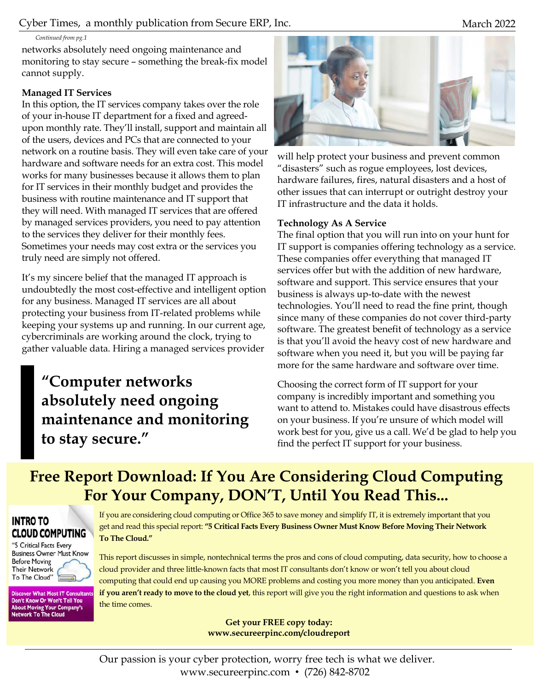#### Cyber Times, a monthly publication from Secure ERP, Inc. Manch 2022

#### *Continued from pg.1*

networks absolutely need ongoing maintenance and monitoring to stay secure – something the break-fix model cannot supply.

#### **Managed IT Services**

In this option, the IT services company takes over the role of your in-house IT department for a fixed and agreedupon monthly rate. They'll install, support and maintain all of the users, devices and PCs that are connected to your network on a routine basis. They will even take care of your hardware and software needs for an extra cost. This model works for many businesses because it allows them to plan for IT services in their monthly budget and provides the business with routine maintenance and IT support that they will need. With managed IT services that are offered by managed services providers, you need to pay attention to the services they deliver for their monthly fees. Sometimes your needs may cost extra or the services you truly need are simply not offered.

It's my sincere belief that the managed IT approach is undoubtedly the most cost-effective and intelligent option for any business. Managed IT services are all about protecting your business from IT-related problems while keeping your systems up and running. In our current age, cybercriminals are working around the clock, trying to gather valuable data. Hiring a managed services provider

**"Computer networks absolutely need ongoing maintenance and monitoring to stay secure."** 



will help protect your business and prevent common "disasters" such as rogue employees, lost devices, hardware failures, fires, natural disasters and a host of other issues that can interrupt or outright destroy your IT infrastructure and the data it holds.

#### **Technology As A Service**

The final option that you will run into on your hunt for IT support is companies offering technology as a service. These companies offer everything that managed IT services offer but with the addition of new hardware, software and support. This service ensures that your business is always up-to-date with the newest technologies. You'll need to read the fine print, though since many of these companies do not cover third-party software. The greatest benefit of technology as a service is that you'll avoid the heavy cost of new hardware and software when you need it, but you will be paying far more for the same hardware and software over time.

Choosing the correct form of IT support for your company is incredibly important and something you want to attend to. Mistakes could have disastrous effects on your business. If you're unsure of which model will work best for you, give us a call. We'd be glad to help you find the perfect IT support for your business.

### **Free Report Download: If You Are Considering Cloud Computing For Your Company, DON'T, Until You Read This...**

#### **INTRO TO CLOUD COMPUTING**

"5 Critical Facts Every **Business Owner Must Know Before Moving Their Network** To The Cloud"

**Discover What Most IT Consultants** Don't Know Or Won't Tell You **About Moving Your Company's Network To The Cloud** 

If you are considering cloud computing or Office 365 to save money and simplify IT, it is extremely important that you get and read this special report: **"5 Critical Facts Every Business Owner Must Know Before Moving Their Network To The Cloud."**

This report discusses in simple, nontechnical terms the pros and cons of cloud computing, data security, how to choose a cloud provider and three little-known facts that most IT consultants don't know or won't tell you about cloud computing that could end up causing you MORE problems and costing you more money than you anticipated. **Even if you aren't ready to move to the cloud yet**, this report will give you the right information and questions to ask when the time comes.

> **Get your FREE copy today: www.secureerpinc.com/cloudreport**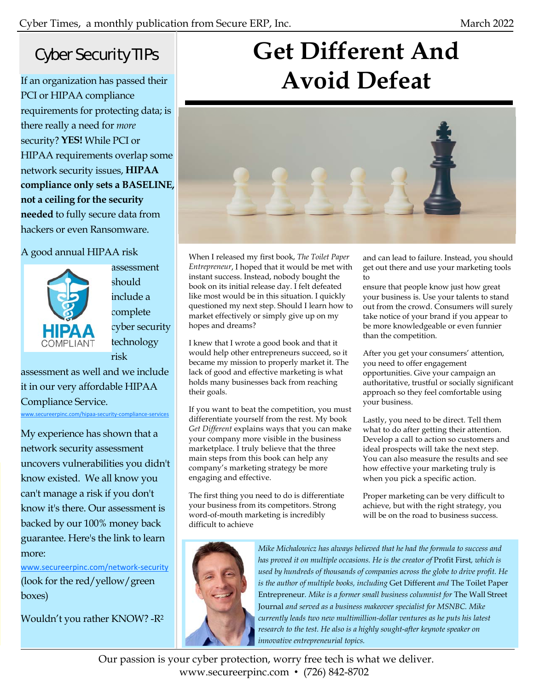## Cyber Security TIPs

If an organization has passed their PCI or HIPAA compliance requirements for protecting data; is there really a need for *more*  security? **YES!** While PCI or HIPAA requirements overlap some network security issues, **HIPAA compliance only sets a BASELINE, not a ceiling for the security needed** to fully secure data from hackers or even Ransomware.

#### A good annual HIPAA risk



should include a complete cyber security technology risk

assessment

assessment as well and we include it in our very affordable HIPAA Compliance Service.

www.secureerpinc.com/hipaa‐security‐compliance‐services

My experience has shown that a network security assessment uncovers vulnerabilities you didn't know existed. We all know you can't manage a risk if you don't know it's there. Our assessment is backed by our 100% money back guarantee. Here's the link to learn more:

www.secureerpinc.com/network‐security (look for the red/yellow/green boxes)

Wouldn't you rather KNOW? -R2

# **Get Different And Avoid Defeat**



When I released my first book, *The Toilet Paper Entrepreneur*, I hoped that it would be met with instant success. Instead, nobody bought the book on its initial release day. I felt defeated like most would be in this situation. I quickly questioned my next step. Should I learn how to market effectively or simply give up on my hopes and dreams?

I knew that I wrote a good book and that it would help other entrepreneurs succeed, so it became my mission to properly market it. The lack of good and effective marketing is what holds many businesses back from reaching their goals.

If you want to beat the competition, you must differentiate yourself from the rest. My book *Get Different* explains ways that you can make your company more visible in the business marketplace. I truly believe that the three main steps from this book can help any company's marketing strategy be more engaging and effective.

The first thing you need to do is differentiate your business from its competitors. Strong word-of-mouth marketing is incredibly difficult to achieve

and can lead to failure. Instead, you should get out there and use your marketing tools to

ensure that people know just how great your business is. Use your talents to stand out from the crowd. Consumers will surely take notice of your brand if you appear to be more knowledgeable or even funnier than the competition.

After you get your consumers' attention, you need to offer engagement opportunities. Give your campaign an authoritative, trustful or socially significant approach so they feel comfortable using your business.

Lastly, you need to be direct. Tell them what to do after getting their attention. Develop a call to action so customers and ideal prospects will take the next step. You can also measure the results and see how effective your marketing truly is when you pick a specific action.

Proper marketing can be very difficult to achieve, but with the right strategy, you will be on the road to business success.



*Mike Michalowicz has always believed that he had the formula to success and has proved it on multiple occasions. He is the creator of* Profit First*, which is used by hundreds of thousands of companies across the globe to drive profit. He is the author of multiple books, including* Get Different *and* The Toilet Paper Entrepreneur*. Mike is a former small business columnist for* The Wall Street Journal *and served as a business makeover specialist for MSNBC. Mike currently leads two new multimillion-dollar ventures as he puts his latest research to the test. He also is a highly sought-after keynote speaker on innovative entrepreneurial topics.* 

Our passion is your cyber protection, worry free tech is what we deliver. www.secureerpinc.com • (726) 842-8702